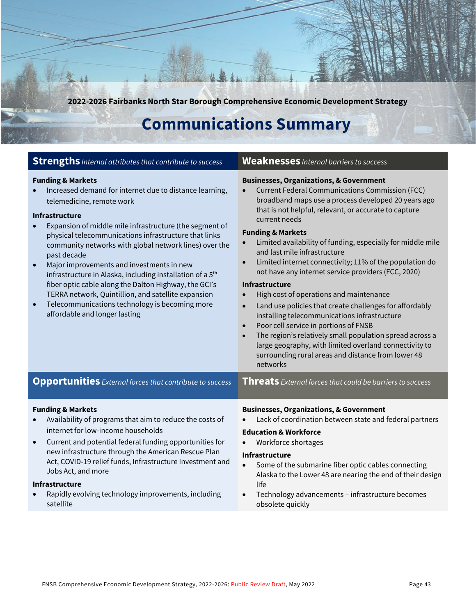**2022-2026 Fairbanks North Star Borough Comprehensive Economic Development Strategy**

# **Communications Summary**

#### **Strengths** *Internal attributes that contribute to success* **Weaknesses** *Internal barriers to success*

#### **Funding & Markets**

• Increased demand for internet due to distance learning, telemedicine, remote work

#### **Infrastructure**

- Expansion of middle mile infrastructure (the segment of physical telecommunications infrastructure that links community networks with global network lines) over the past decade
- Major improvements and investments in new infrastructure in Alaska, including installation of a 5<sup>th</sup> fiber optic cable along the Dalton Highway, the GCI's TERRA network, Quintillion, and satellite expansion
- Telecommunications technology is becoming more affordable and longer lasting

#### **Businesses, Organizations, & Government**

• Current Federal Communications Commission (FCC) broadband maps use a process developed 20 years ago that is not helpful, relevant, or accurate to capture current needs

#### **Funding & Markets**

- Limited availability of funding, especially for middle mile and last mile infrastructure
- Limited internet connectivity; 11% of the population do not have any internet service providers (FCC, 2020)

#### **Infrastructure**

- High cost of operations and maintenance
- Land use policies that create challenges for affordably installing telecommunications infrastructure
- Poor cell service in portions of FNSB
- The region's relatively small population spread across a large geography, with limited overland connectivity to surrounding rural areas and distance from lower 48 networks

**Opportunities** *External forces that contribute to success* **Threats** *External forces that could be barriers to success*

#### **Funding & Markets**

- Availability of programs that aim to reduce the costs of internet for low-income households
- Current and potential federal funding opportunities for new infrastructure through the American Rescue Plan Act, COVID-19 relief funds, Infrastructure Investment and Jobs Act, and more

#### **Infrastructure**

• Rapidly evolving technology improvements, including satellite

#### **Businesses, Organizations, & Government**

• Lack of coordination between state and federal partners

#### **Education & Workforce**

• Workforce shortages

#### **Infrastructure**

- Some of the submarine fiber optic cables connecting Alaska to the Lower 48 are nearing the end of their design life
- Technology advancements infrastructure becomes obsolete quickly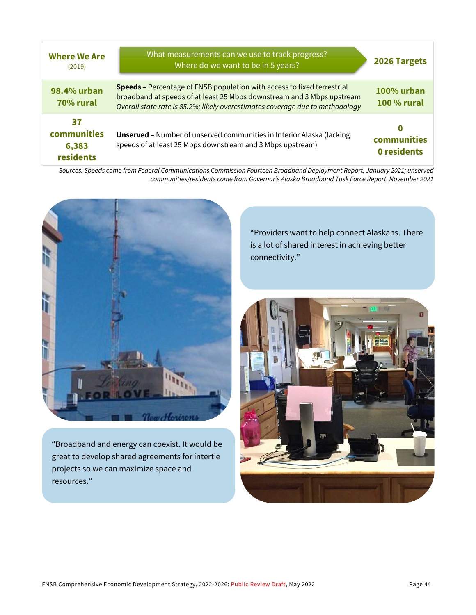| <b>Where We Are</b><br>(2019)           | What measurements can we use to track progress?<br>Where do we want to be in 5 years?                                                                                                                                                     | 2026 Targets                     |
|-----------------------------------------|-------------------------------------------------------------------------------------------------------------------------------------------------------------------------------------------------------------------------------------------|----------------------------------|
| 98.4% urban<br>70% rural                | <b>Speeds -</b> Percentage of FNSB population with access to fixed terrestrial<br>broadband at speeds of at least 25 Mbps downstream and 3 Mbps upstream<br>Overall state rate is 85.2%; likely overestimates coverage due to methodology | 100% urban<br><b>100 % rural</b> |
| 37<br>communities<br>6,383<br>residents | <b>Unserved - Number of unserved communities in Interior Alaska (lacking</b><br>speeds of at least 25 Mbps downstream and 3 Mbps upstream)                                                                                                | O<br>communities<br>0 residents  |

*Sources: Speeds come from Federal Communications Commission Fourteen Broadband Deployment Report, January 2021; unserved communities/residents come from Governor's Alaska Broadband Task Force Report, November 2021*



"Broadband and energy can coexist. It would be great to develop shared agreements for intertie projects so we can maximize space and resources."

"Providers want to help connect Alaskans. There is a lot of shared interest in achieving better connectivity."

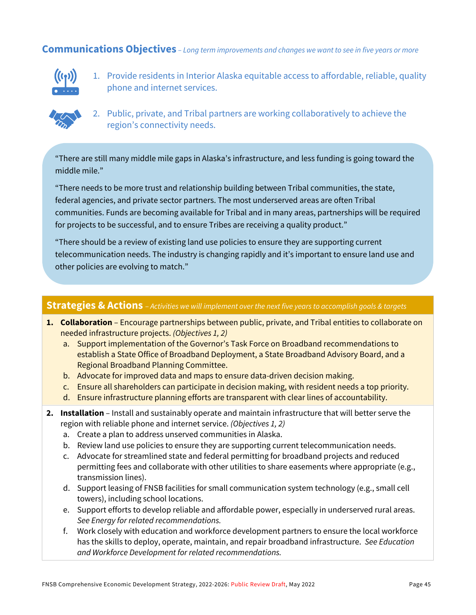#### **Communications Objectives** *– Long term improvements and changes we want to see in five years or more*



1. Provide residents in Interior Alaska equitable access to affordable, reliable, quality phone and internet services.



2. Public, private, and Tribal partners are working collaboratively to achieve the region's connectivity needs.

"There are still many middle mile gaps in Alaska's infrastructure, and less funding is going toward the middle mile."

"There needs to be more trust and relationship building between Tribal communities, the state, federal agencies, and private sector partners. The most underserved areas are often Tribal communities. Funds are becoming available for Tribal and in many areas, partnerships will be required for projects to be successful, and to ensure Tribes are receiving a quality product."

"There should be a review of existing land use policies to ensure they are supporting current telecommunication needs. The industry is changing rapidly and it's important to ensure land use and other policies are evolving to match."

#### **Strategies & Actions** – *Activities we will implement over the next five years to accomplish goals & targets*

- **1. Collaboration**  Encourage partnerships between public, private, and Tribal entities to collaborate on needed infrastructure projects. *(Objectives 1, 2)*
	- a. Support implementation of the Governor's Task Force on Broadband recommendations to establish a State Office of Broadband Deployment, a State Broadband Advisory Board, and a Regional Broadband Planning Committee.
	- b. Advocate for improved data and maps to ensure data-driven decision making.
	- c. Ensure all shareholders can participate in decision making, with resident needs a top priority.
	- d. Ensure infrastructure planning efforts are transparent with clear lines of accountability.
- **2. Installation**  Install and sustainably operate and maintain infrastructure that will better serve the region with reliable phone and internet service. *(Objectives 1, 2)*
	- a. Create a plan to address unserved communities in Alaska.
	- b. Review land use policies to ensure they are supporting current telecommunication needs.
	- c. Advocate for streamlined state and federal permitting for broadband projects and reduced permitting fees and collaborate with other utilities to share easements where appropriate (e.g., transmission lines).
	- d. Support leasing of FNSB facilities for small communication system technology (e.g., small cell towers), including school locations.
	- e. Support efforts to develop reliable and affordable power, especially in underserved rural areas. *See Energy for related recommendations.*
	- f. Work closely with education and workforce development partners to ensure the local workforce has the skills to deploy, operate, maintain, and repair broadband infrastructure. *See Education and Workforce Development for related recommendations.*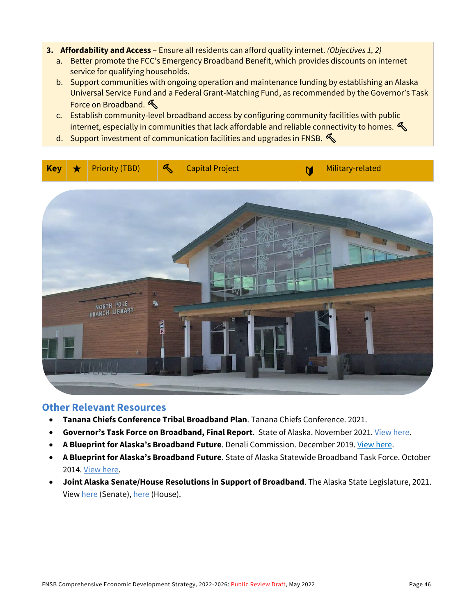- **3. Affordability and Access**  Ensure all residents can afford quality internet. *(Objectives 1, 2)*
	- a. Better promote the FCC's Emergency Broadband Benefit, which provides discounts on internet service for qualifying households.
	- b. Support communities with ongoing operation and maintenance funding by establishing an Alaska Universal Service Fund and a Federal Grant-Matching Fund, as recommended by the Governor's Task Force on Broadband.
	- c. Establish community-level broadband access by configuring community facilities with public internet, especially in communities that lack affordable and reliable connectivity to homes.  $\mathcal{L}$
	- d. Support investment of communication facilities and upgrades in FNSB.



### **Other Relevant Resources**

- **Tanana Chiefs Conference Tribal Broadband Plan**. Tanana Chiefs Conference. 2021.
- **Governor's Task Force on Broadband, Final Report**. State of Alaska. November 2021. [View here.](https://indd.adobe.com/view/42ddcfe3-5ea9-4bcb-bd09-a71bcb63869a)
- **A Blueprint for Alaska's Broadband Future**. Denali Commission. December 2019. [View here.](https://www.denali.gov/updated-broadband-plan-document/)
- **A Blueprint for Alaska's Broadband Future**. State of Alaska Statewide Broadband Task Force. October 2014. [View here.](https://aedcweb.com/wp-content/uploads/2014/10/Statewide-Broadband-Task-Force-Report-FINAL.pdf)
- **Joint Alaska Senate/House Resolutions in Support of Broadband**. The Alaska State Legislature, 2021. View [here \(](http://www.akleg.gov/basis/Bill/Text/32?Hsid=HJR019C)Senate)[, here \(](http://www.akleg.gov/basis/Bill/Text/32?Hsid=SJR013C)House).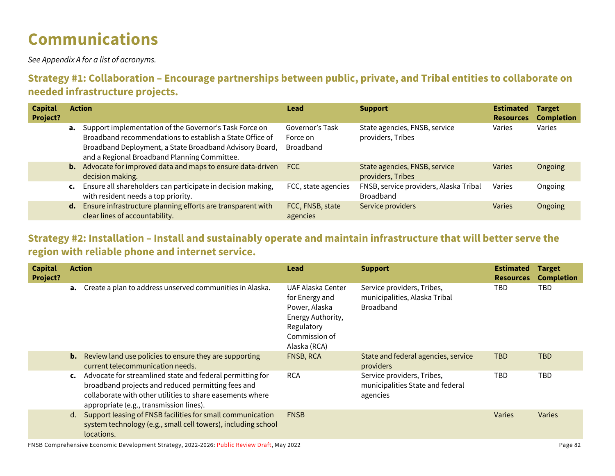# **Communications**

*See Appendix A for a list of acronyms.*

## **Strategy #1: Collaboration – Encourage partnerships between public, private, and Tribal entities to collaborate on needed infrastructure projects.**

| <b>Capital</b><br>Project? |                | <b>Action</b>                                                                                                                                                                                                                           | Lead                                            | <b>Support</b>                                             | <b>Estimated</b><br><b>Resources</b> | <b>Target</b><br><b>Completion</b> |
|----------------------------|----------------|-----------------------------------------------------------------------------------------------------------------------------------------------------------------------------------------------------------------------------------------|-------------------------------------------------|------------------------------------------------------------|--------------------------------------|------------------------------------|
|                            |                | <b>a.</b> Support implementation of the Governor's Task Force on<br>Broadband recommendations to establish a State Office of<br>Broadband Deployment, a State Broadband Advisory Board,<br>and a Regional Broadband Planning Committee. | Governor's Task<br>Force on<br><b>Broadband</b> | State agencies, FNSB, service<br>providers, Tribes         | Varies                               | Varies                             |
|                            |                | <b>b.</b> Advocate for improved data and maps to ensure data-driven<br>decision making.                                                                                                                                                 | <b>FCC</b>                                      | State agencies, FNSB, service<br>providers, Tribes         | Varies                               | Ongoing                            |
|                            | $\mathsf{c}$ . | Ensure all shareholders can participate in decision making,<br>with resident needs a top priority.                                                                                                                                      | FCC, state agencies                             | FNSB, service providers, Alaska Tribal<br><b>Broadband</b> | Varies                               | Ongoing                            |
|                            | d.             | Ensure infrastructure planning efforts are transparent with<br>clear lines of accountability.                                                                                                                                           | FCC, FNSB, state<br>agencies                    | Service providers                                          | Varies                               | Ongoing                            |

### **Strategy #2: Installation – Install and sustainably operate and maintain infrastructure that will better serve the region with reliable phone and internet service.**

| <b>Capital</b><br>Project? |    | <b>Action</b>                                                                                                                                                                                                           | Lead                                                                                                                     | <b>Support</b>                                                                  | <b>Estimated</b><br><b>Resources</b> | <b>Target</b><br><b>Completion</b> |
|----------------------------|----|-------------------------------------------------------------------------------------------------------------------------------------------------------------------------------------------------------------------------|--------------------------------------------------------------------------------------------------------------------------|---------------------------------------------------------------------------------|--------------------------------------|------------------------------------|
|                            |    | a. Create a plan to address unserved communities in Alaska.                                                                                                                                                             | UAF Alaska Center<br>for Energy and<br>Power, Alaska<br>Energy Authority,<br>Regulatory<br>Commission of<br>Alaska (RCA) | Service providers, Tribes,<br>municipalities, Alaska Tribal<br><b>Broadband</b> | TBD                                  | TBD.                               |
|                            | b. | Review land use policies to ensure they are supporting<br>current telecommunication needs.                                                                                                                              | FNSB, RCA                                                                                                                | State and federal agencies, service<br>providers                                | <b>TBD</b>                           | TBD                                |
|                            | C. | Advocate for streamlined state and federal permitting for<br>broadband projects and reduced permitting fees and<br>collaborate with other utilities to share easements where<br>appropriate (e.g., transmission lines). | <b>RCA</b>                                                                                                               | Service providers, Tribes,<br>municipalities State and federal<br>agencies      | TBD                                  | <b>TBD</b>                         |
|                            | d. | Support leasing of FNSB facilities for small communication<br>system technology (e.g., small cell towers), including school<br>locations.                                                                               | <b>FNSB</b>                                                                                                              |                                                                                 | <b>Varies</b>                        | <b>Varies</b>                      |
|                            |    |                                                                                                                                                                                                                         |                                                                                                                          |                                                                                 |                                      |                                    |

FNSB Comprehensive Economic Development Strategy, 2022-2026: Public Review Draft, May 2022 Page 2020 Page 82 Page 82